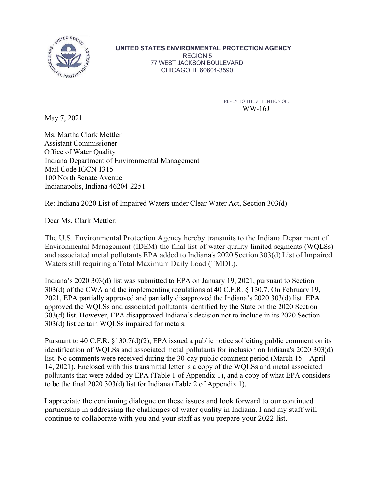

**UNITED STATES ENVIRONMENTAL PROTECTION AGENCY**

REGION 5 77 WEST JACKSON BOULEVARD CHICAGO, IL 60604-3590

> REPLY TO THE ATTENTION OF: WW-16J

May 7, 2021

Ms. Martha Clark Mettler Assistant Commissioner Office of Water Quality Indiana Department of Environmental Management Mail Code IGCN 1315 100 North Senate Avenue Indianapolis, Indiana 46204-2251

Re: Indiana 2020 List of Impaired Waters under Clear Water Act, Section 303(d)

Dear Ms. Clark Mettler:

The U.S. Environmental Protection Agency hereby transmits to the Indiana Department of Environmental Management (IDEM) the final list of water quality-limited segments (WQLSs) and associated metal pollutants EPA added to Indiana's 2020 Section 303(d) List of Impaired Waters still requiring a Total Maximum Daily Load (TMDL).

Indiana's 2020 303(d) list was submitted to EPA on January 19, 2021, pursuant to Section 303(d) of the CWA and the implementing regulations at 40 C.F.R. § 130.7. On February 19, 2021, EPA partially approved and partially disapproved the Indiana's 2020 303(d) list. EPA approved the WQLSs and associated pollutants identified by the State on the 2020 Section 303(d) list. However, EPA disapproved Indiana's decision not to include in its 2020 Section 303(d) list certain WQLSs impaired for metals.

Pursuant to 40 C.F.R. §130.7(d)(2), EPA issued a public notice soliciting public comment on its identification of WQLSs and associated metal pollutants for inclusion on Indiana's 2020 303(d) list. No comments were received during the 30-day public comment period (March 15 – April 14, 2021). Enclosed with this transmittal letter is a copy of the WQLSs and metal associated pollutants that were added by EPA (Table 1 of Appendix 1), and a copy of what EPA considers to be the final 2020 303(d) list for Indiana (Table 2 of Appendix 1).

I appreciate the continuing dialogue on these issues and look forward to our continued partnership in addressing the challenges of water quality in Indiana. I and my staff will continue to collaborate with you and your staff as you prepare your 2022 list.